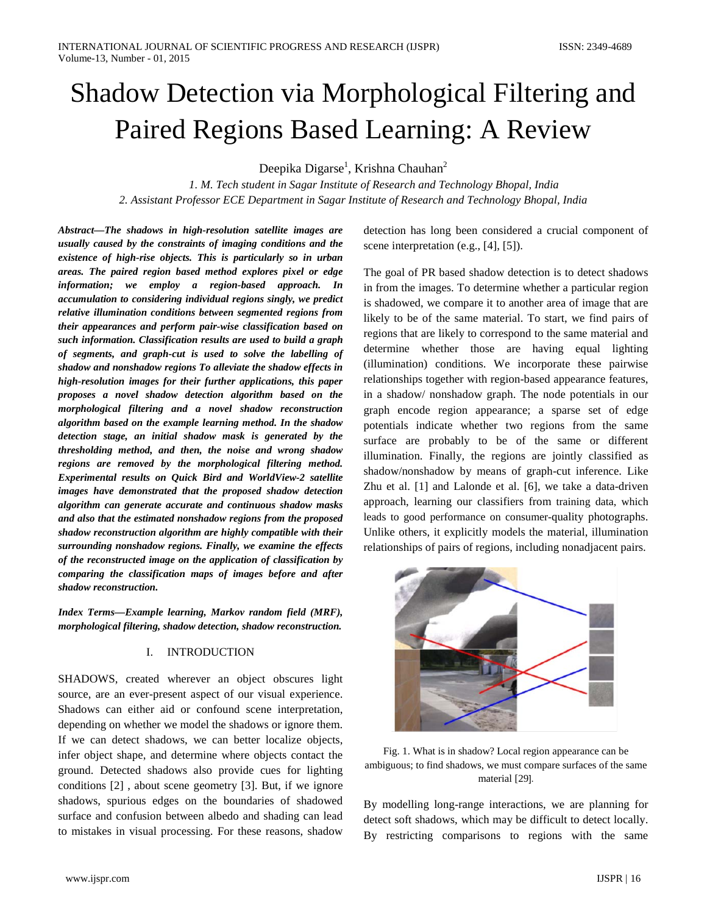# Shadow Detection via Morphological Filtering and Paired Regions Based Learning: A Review

Deepika Digarse<sup>1</sup>, Krishna Chauhan<sup>2</sup>

*1. M. Tech student in Sagar Institute of Research and Technology Bhopal, India 2. Assistant Professor ECE Department in Sagar Institute of Research and Technology Bhopal, India*

*Abstract—The shadows in high-resolution satellite images are usually caused by the constraints of imaging conditions and the existence of high-rise objects. This is particularly so in urban areas. The paired region based method explores pixel or edge information; we employ a region-based approach. In accumulation to considering individual regions singly, we predict relative illumination conditions between segmented regions from their appearances and perform pair-wise classification based on such information. Classification results are used to build a graph of segments, and graph-cut is used to solve the labelling of shadow and nonshadow regions To alleviate the shadow effects in high-resolution images for their further applications, this paper proposes a novel shadow detection algorithm based on the morphological filtering and a novel shadow reconstruction algorithm based on the example learning method. In the shadow detection stage, an initial shadow mask is generated by the thresholding method, and then, the noise and wrong shadow regions are removed by the morphological filtering method. Experimental results on Quick Bird and WorldView-2 satellite images have demonstrated that the proposed shadow detection algorithm can generate accurate and continuous shadow masks and also that the estimated nonshadow regions from the proposed shadow reconstruction algorithm are highly compatible with their surrounding nonshadow regions. Finally, we examine the effects of the reconstructed image on the application of classification by comparing the classification maps of images before and after shadow reconstruction.*

*Index Terms—Example learning, Markov random field (MRF), morphological filtering, shadow detection, shadow reconstruction.*

## I. INTRODUCTION

SHADOWS, created wherever an object obscures light source, are an ever-present aspect of our visual experience. Shadows can either aid or confound scene interpretation, depending on whether we model the shadows or ignore them. If we can detect shadows, we can better localize objects, infer object shape, and determine where objects contact the ground. Detected shadows also provide cues for lighting conditions [2] , about scene geometry [3]. But, if we ignore shadows, spurious edges on the boundaries of shadowed surface and confusion between albedo and shading can lead to mistakes in visual processing. For these reasons, shadow

detection has long been considered a crucial component of scene interpretation (e.g., [4], [5]).

The goal of PR based shadow detection is to detect shadows in from the images. To determine whether a particular region is shadowed, we compare it to another area of image that are likely to be of the same material. To start, we find pairs of regions that are likely to correspond to the same material and determine whether those are having equal lighting (illumination) conditions. We incorporate these pairwise relationships together with region-based appearance features, in a shadow/ nonshadow graph. The node potentials in our graph encode region appearance; a sparse set of edge potentials indicate whether two regions from the same surface are probably to be of the same or different illumination. Finally, the regions are jointly classified as shadow/nonshadow by means of graph-cut inference. Like Zhu et al. [1] and Lalonde et al. [6], we take a data-driven approach, learning our classifiers from training data, which leads to good performance on consumer-quality photographs. Unlike others, it explicitly models the material, illumination relationships of pairs of regions, including nonadjacent pairs.



Fig. 1. What is in shadow? Local region appearance can be ambiguous; to find shadows, we must compare surfaces of the same material [29].

By modelling long-range interactions, we are planning for detect soft shadows, which may be difficult to detect locally. By restricting comparisons to regions with the same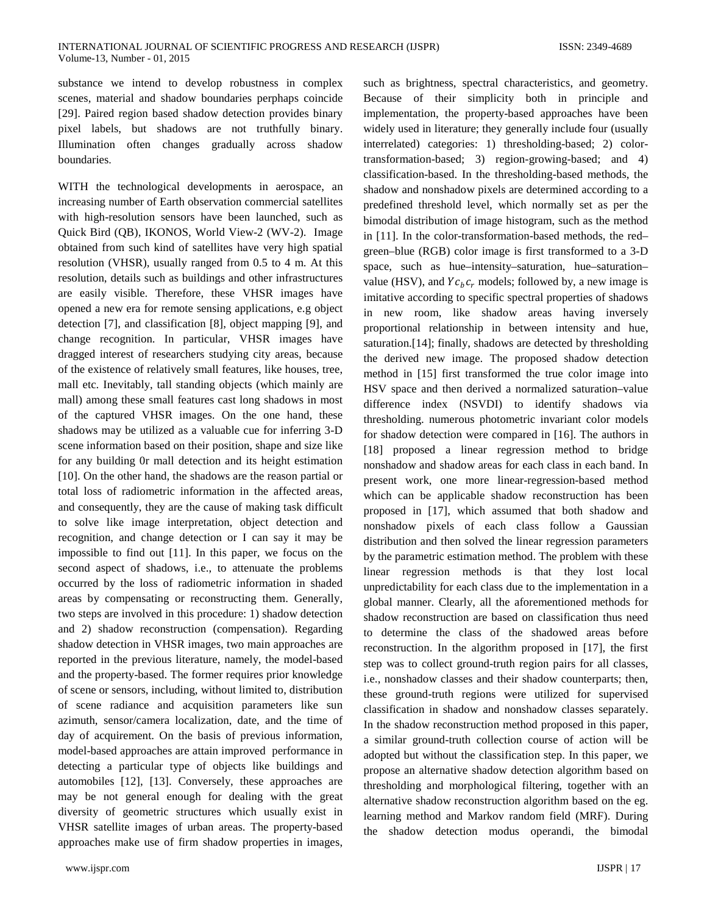substance we intend to develop robustness in complex scenes, material and shadow boundaries perphaps coincide [29]. Paired region based shadow detection provides binary pixel labels, but shadows are not truthfully binary. Illumination often changes gradually across shadow boundaries.

WITH the technological developments in aerospace, an increasing number of Earth observation commercial satellites with high-resolution sensors have been launched, such as Quick Bird (QB), IKONOS, World View-2 (WV-2). Image obtained from such kind of satellites have very high spatial resolution (VHSR), usually ranged from 0.5 to 4 m. At this resolution, details such as buildings and other infrastructures are easily visible. Therefore, these VHSR images have opened a new era for remote sensing applications, e.g object detection [7], and classification [8], object mapping [9], and change recognition. In particular, VHSR images have dragged interest of researchers studying city areas, because of the existence of relatively small features, like houses, tree, mall etc. Inevitably, tall standing objects (which mainly are mall) among these small features cast long shadows in most of the captured VHSR images. On the one hand, these shadows may be utilized as a valuable cue for inferring 3-D scene information based on their position, shape and size like for any building 0r mall detection and its height estimation [10]. On the other hand, the shadows are the reason partial or total loss of radiometric information in the affected areas, and consequently, they are the cause of making task difficult to solve like image interpretation, object detection and recognition, and change detection or I can say it may be impossible to find out [11]. In this paper, we focus on the second aspect of shadows, i.e., to attenuate the problems occurred by the loss of radiometric information in shaded areas by compensating or reconstructing them. Generally, two steps are involved in this procedure: 1) shadow detection and 2) shadow reconstruction (compensation). Regarding shadow detection in VHSR images, two main approaches are reported in the previous literature, namely, the model-based and the property-based. The former requires prior knowledge of scene or sensors, including, without limited to, distribution of scene radiance and acquisition parameters like sun azimuth, sensor/camera localization, date, and the time of day of acquirement. On the basis of previous information, model-based approaches are attain improved performance in detecting a particular type of objects like buildings and automobiles [12], [13]. Conversely, these approaches are may be not general enough for dealing with the great diversity of geometric structures which usually exist in VHSR satellite images of urban areas. The property-based approaches make use of firm shadow properties in images,

such as brightness, spectral characteristics, and geometry. Because of their simplicity both in principle and implementation, the property-based approaches have been widely used in literature; they generally include four (usually interrelated) categories: 1) thresholding-based; 2) colortransformation-based; 3) region-growing-based; and 4) classification-based. In the thresholding-based methods, the shadow and nonshadow pixels are determined according to a predefined threshold level, which normally set as per the bimodal distribution of image histogram, such as the method in [11]. In the color-transformation-based methods, the red– green–blue (RGB) color image is first transformed to a 3-D space, such as hue–intensity–saturation, hue–saturation– value (HSV), and  $Yc_hc_r$  models; followed by, a new image is imitative according to specific spectral properties of shadows in new room, like shadow areas having inversely proportional relationship in between intensity and hue, saturation.[14]; finally, shadows are detected by thresholding the derived new image. The proposed shadow detection method in [15] first transformed the true color image into HSV space and then derived a normalized saturation–value difference index (NSVDI) to identify shadows via thresholding. numerous photometric invariant color models for shadow detection were compared in [16]. The authors in [18] proposed a linear regression method to bridge nonshadow and shadow areas for each class in each band. In present work, one more linear-regression-based method which can be applicable shadow reconstruction has been proposed in [17], which assumed that both shadow and nonshadow pixels of each class follow a Gaussian distribution and then solved the linear regression parameters by the parametric estimation method. The problem with these linear regression methods is that they lost local unpredictability for each class due to the implementation in a global manner. Clearly, all the aforementioned methods for shadow reconstruction are based on classification thus need to determine the class of the shadowed areas before reconstruction. In the algorithm proposed in [17], the first step was to collect ground-truth region pairs for all classes, i.e., nonshadow classes and their shadow counterparts; then, these ground-truth regions were utilized for supervised classification in shadow and nonshadow classes separately. In the shadow reconstruction method proposed in this paper, a similar ground-truth collection course of action will be adopted but without the classification step. In this paper, we propose an alternative shadow detection algorithm based on thresholding and morphological filtering, together with an alternative shadow reconstruction algorithm based on the eg. learning method and Markov random field (MRF). During the shadow detection modus operandi, the bimodal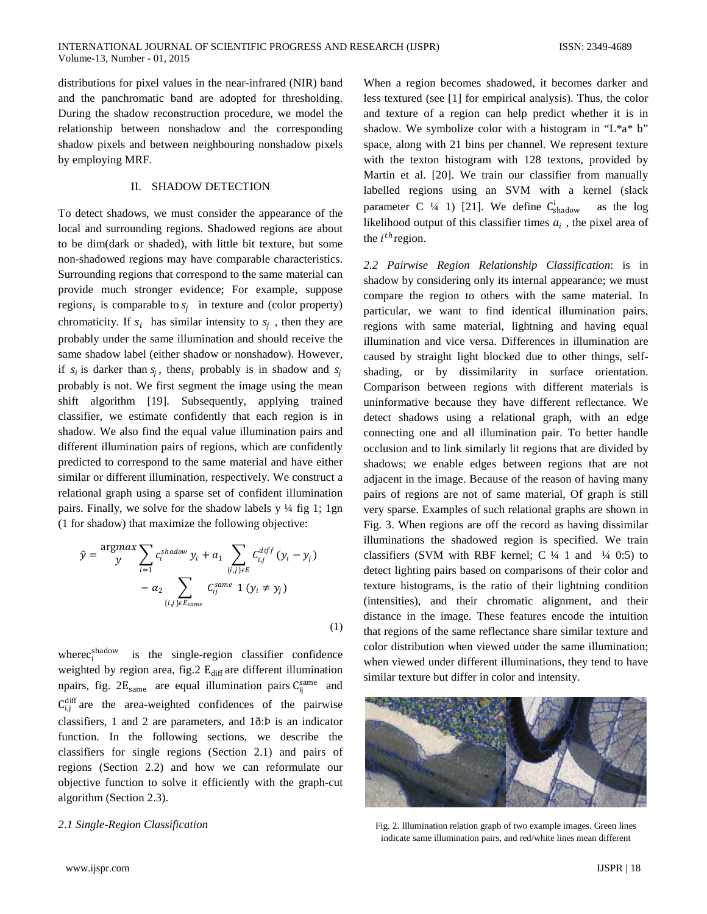distributions for pixel values in the near-infrared (NIR) band and the panchromatic band are adopted for thresholding. During the shadow reconstruction procedure, we model the relationship between nonshadow and the corresponding shadow pixels and between neighbouring nonshadow pixels by employing MRF.

## II. SHADOW DETECTION

To detect shadows, we must consider the appearance of the local and surrounding regions. Shadowed regions are about to be dim(dark or shaded), with little bit texture, but some non-shadowed regions may have comparable characteristics. Surrounding regions that correspond to the same material can provide much stronger evidence; For example, suppose regions<sub>i</sub> is comparable to  $s_i$  in texture and (color property) chromaticity. If  $s_i$  has similar intensity to  $s_i$ , then they are probably under the same illumination and should receive the same shadow label (either shadow or nonshadow). However, if  $s_i$  is darker than  $s_i$ , then  $s_i$  probably is in shadow and  $s_i$ probably is not. We first segment the image using the mean shift algorithm [19]. Subsequently, applying trained classifier, we estimate confidently that each region is in shadow. We also find the equal value illumination pairs and different illumination pairs of regions, which are confidently predicted to correspond to the same material and have either similar or different illumination, respectively. We construct a relational graph using a sparse set of confident illumination pairs. Finally, we solve for the shadow labels  $y \frac{1}{4}$  fig 1; 1gn (1 for shadow) that maximize the following objective:

$$
\hat{y} = \frac{\text{argmax}}{y} \sum_{i=1}^n c_i^{shadow} y_i + a_1 \sum_{\{i,j\} \in E} C_{i,j}^{diff} (y_i - y_j) -\alpha_2 \sum_{\{i,j\} \in E_{same}} C_{ij}^{same} 1 (y_i \neq y_j)
$$
\n(1)

where  $c_i^{\text{shadow}}$ is the single-region classifier confidence weighted by region area, fig.2  $E_{diff}$  are different illumination npairs, fig.  $2E_{\text{same}}$  are equal illumination pairs  $C_{ij}^{\text{same}}$  and  $C_{i,j}^{\text{diff}}$  are the area-weighted confidences of the pairwise classifiers, 1 and 2 are parameters, and 1ð:Þ is an indicator function. In the following sections, we describe the classifiers for single regions (Section 2.1) and pairs of regions (Section 2.2) and how we can reformulate our objective function to solve it efficiently with the graph-cut algorithm (Section 2.3).

## *2*.*1 Single-Region Classification*

When a region becomes shadowed, it becomes darker and less textured (see [1] for empirical analysis). Thus, the color and texture of a region can help predict whether it is in shadow. We symbolize color with a histogram in "L\*a\* b" space, along with 21 bins per channel. We represent texture with the texton histogram with 128 textons, provided by Martin et al. [20]. We train our classifier from manually labelled regions using an SVM with a kernel (slack parameter C  $\frac{1}{4}$  1) [21]. We define C<sub>shadow</sub> as the log likelihood output of this classifier times  $a_i$ , the pixel area of the  $i^{th}$  region.

*2.2 Pairwise Region Relationship Classification*: is in shadow by considering only its internal appearance; we must compare the region to others with the same material. In particular, we want to find identical illumination pairs, regions with same material, lightning and having equal illumination and vice versa. Differences in illumination are caused by straight light blocked due to other things, selfshading, or by dissimilarity in surface orientation. Comparison between regions with different materials is uninformative because they have different reflectance. We detect shadows using a relational graph, with an edge connecting one and all illumination pair. To better handle occlusion and to link similarly lit regions that are divided by shadows; we enable edges between regions that are not adjacent in the image. Because of the reason of having many pairs of regions are not of same material, Of graph is still very sparse. Examples of such relational graphs are shown in Fig. 3. When regions are off the record as having dissimilar illuminations the shadowed region is specified. We train classifiers (SVM with RBF kernel; C  $\frac{1}{4}$  1 and  $\frac{1}{4}$  0:5) to detect lighting pairs based on comparisons of their color and texture histograms, is the ratio of their lightning condition (intensities), and their chromatic alignment, and their distance in the image. These features encode the intuition that regions of the same reflectance share similar texture and color distribution when viewed under the same illumination; when viewed under different illuminations, they tend to have similar texture but differ in color and intensity.



Fig. 2. Illumination relation graph of two example images. Green lines indicate same illumination pairs, and red/white lines mean different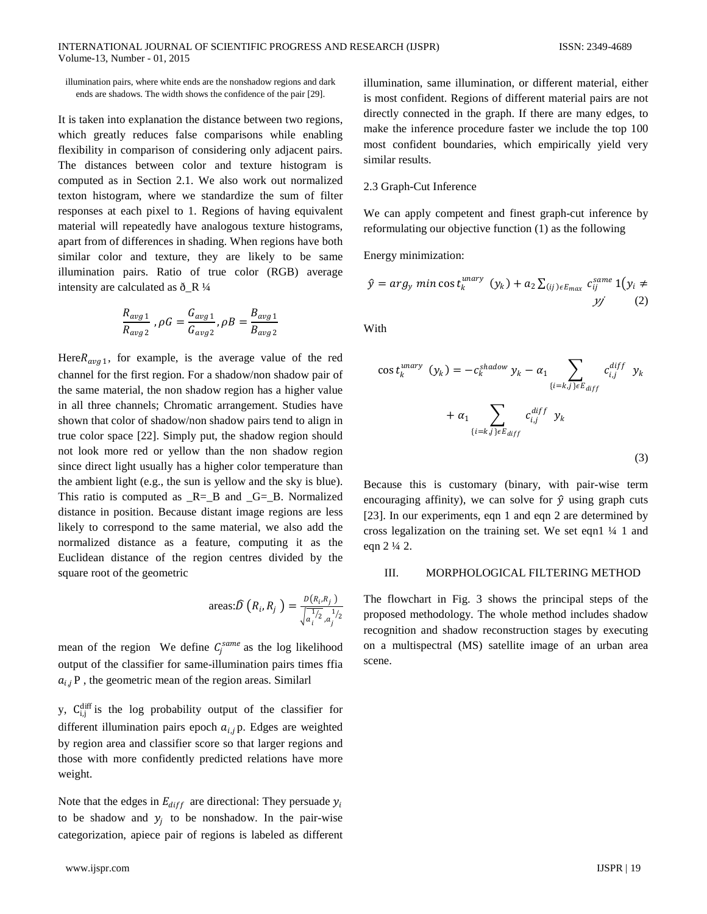illumination pairs, where white ends are the nonshadow regions and dark ends are shadows. The width shows the confidence of the pair [29].

It is taken into explanation the distance between two regions, which greatly reduces false comparisons while enabling flexibility in comparison of considering only adjacent pairs. The distances between color and texture histogram is computed as in Section 2.1. We also work out normalized texton histogram, where we standardize the sum of filter responses at each pixel to 1. Regions of having equivalent material will repeatedly have analogous texture histograms, apart from of differences in shading. When regions have both similar color and texture, they are likely to be same illumination pairs. Ratio of true color (RGB) average intensity are calculated as  $\delta_R V_4$ 

$$
\frac{R_{avg\,1}}{R_{avg\,2}}\,,\rho G=\frac{G_{avg\,1}}{G_{avg\,2}}\,,\rho B=\frac{B_{avg\,1}}{B_{avg\,2}}
$$

Here  $R_{avg1}$ , for example, is the average value of the red channel for the first region. For a shadow/non shadow pair of the same material, the non shadow region has a higher value in all three channels; Chromatic arrangement. Studies have shown that color of shadow/non shadow pairs tend to align in true color space [22]. Simply put, the shadow region should not look more red or yellow than the non shadow region since direct light usually has a higher color temperature than the ambient light (e.g., the sun is yellow and the sky is blue). This ratio is computed as  $R = B$  and  $G = B$ . Normalized distance in position. Because distant image regions are less likely to correspond to the same material, we also add the normalized distance as a feature, computing it as the Euclidean distance of the region centres divided by the square root of the geometric

$$
\arccos \hat{D}\left(R_i, R_j\right) = \frac{D(R_i, R_j)}{\sqrt{a_i^{1/2}, a_j^{1/2}}}
$$

mean of the region We define  $C_j^{same}$  as the log likelihood output of the classifier for same-illumination pairs times ffia  $a_{i,j}$ P, the geometric mean of the region areas. Similarl

y,  $C_{i,j}^{\text{diff}}$  is the log probability output of the classifier for different illumination pairs epoch  $a_{i,j}$  p. Edges are weighted by region area and classifier score so that larger regions and those with more confidently predicted relations have more weight.

Note that the edges in  $E_{diff}$  are directional: They persuade  $y_i$ to be shadow and  $y_i$  to be nonshadow. In the pair-wise categorization, apiece pair of regions is labeled as different illumination, same illumination, or different material, either is most confident. Regions of different material pairs are not directly connected in the graph. If there are many edges, to make the inference procedure faster we include the top 100 most confident boundaries, which empirically yield very similar results.

#### 2.3 Graph-Cut Inference

We can apply competent and finest graph-cut inference by reformulating our objective function (1) as the following

Energy minimization:

$$
\hat{y} = arg_y \min \cos t_k^{\text{unary}} \left( y_k \right) + a_2 \sum_{(ij) \in E_{\text{max}}} c_{ij}^{\text{same}} \mathbf{1} \left( y_i \neq y_j \right)
$$
\n
$$
y_j \tag{2}
$$

With

$$
\cos t_k^{unary} (y_k) = -c_k^{shadow} y_k - \alpha_1 \sum_{\{i=k,j\} \in E_{diff}} c_{i,j}^{diff} y_k + \alpha_1 \sum_{\{i=k,j\} \in E_{diff}} c_{i,j}^{diff} y_k
$$
\n(3)

Because this is customary (binary, with pair-wise term encouraging affinity), we can solve for  $\hat{y}$  using graph cuts [23]. In our experiments, eqn 1 and eqn 2 are determined by cross legalization on the training set. We set eqn1 ¼ 1 and eqn 2 ¼ 2.

#### III. MORPHOLOGICAL FILTERING METHOD

The flowchart in Fig. 3 shows the principal steps of the proposed methodology. The whole method includes shadow recognition and shadow reconstruction stages by executing on a multispectral (MS) satellite image of an urban area scene.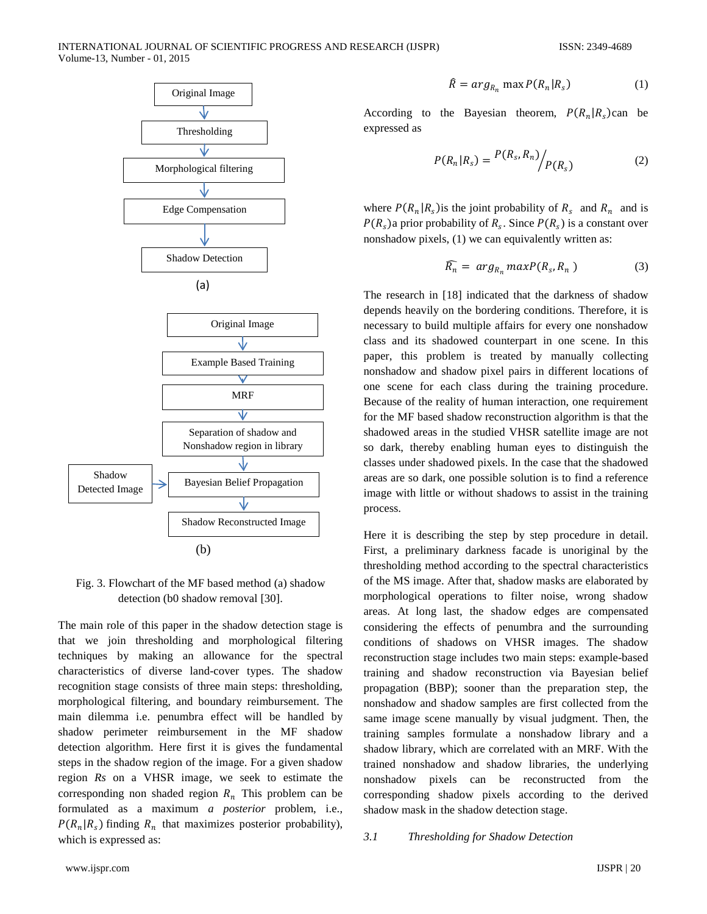

Fig. 3. Flowchart of the MF based method (a) shadow detection (b0 shadow removal [30].

The main role of this paper in the shadow detection stage is that we join thresholding and morphological filtering techniques by making an allowance for the spectral characteristics of diverse land-cover types. The shadow recognition stage consists of three main steps: thresholding, morphological filtering, and boundary reimbursement. The main dilemma i.e. penumbra effect will be handled by shadow perimeter reimbursement in the MF shadow detection algorithm. Here first it is gives the fundamental steps in the shadow region of the image. For a given shadow region *Rs* on a VHSR image, we seek to estimate the corresponding non shaded region  $R_n$  This problem can be formulated as a maximum *a posterior* problem, i.e.,  $P(R_n | R_s)$  finding  $R_n$  that maximizes posterior probability), which is expressed as:

$$
\hat{R} = arg_{R_n} \max P(R_n | R_s)
$$
 (1)

According to the Bayesian theorem,  $P(R_n | R_s)$ can be expressed as

$$
P(R_n|R_s) = \frac{P(R_s, R_n)}{P(R_s)} \tag{2}
$$

where  $P(R_n | R_s)$  is the joint probability of  $R_s$  and  $R_n$  and is  $P(R_{\rm s})$ a prior probability of  $R_{\rm s}$ . Since  $P(R_{\rm s})$  is a constant over nonshadow pixels, (1) we can equivalently written as:

$$
\widehat{R_n} = \arg_{R_n} \max P(R_s, R_n) \tag{3}
$$

The research in [18] indicated that the darkness of shadow depends heavily on the bordering conditions. Therefore, it is necessary to build multiple affairs for every one nonshadow class and its shadowed counterpart in one scene. In this paper, this problem is treated by manually collecting nonshadow and shadow pixel pairs in different locations of one scene for each class during the training procedure. Because of the reality of human interaction, one requirement for the MF based shadow reconstruction algorithm is that the shadowed areas in the studied VHSR satellite image are not so dark, thereby enabling human eyes to distinguish the classes under shadowed pixels. In the case that the shadowed areas are so dark, one possible solution is to find a reference image with little or without shadows to assist in the training process.

Here it is describing the step by step procedure in detail. First, a preliminary darkness facade is unoriginal by the thresholding method according to the spectral characteristics of the MS image. After that, shadow masks are elaborated by morphological operations to filter noise, wrong shadow areas. At long last, the shadow edges are compensated considering the effects of penumbra and the surrounding conditions of shadows on VHSR images. The shadow reconstruction stage includes two main steps: example-based training and shadow reconstruction via Bayesian belief propagation (BBP); sooner than the preparation step, the nonshadow and shadow samples are first collected from the same image scene manually by visual judgment. Then, the training samples formulate a nonshadow library and a shadow library, which are correlated with an MRF. With the trained nonshadow and shadow libraries, the underlying nonshadow pixels can be reconstructed from the corresponding shadow pixels according to the derived shadow mask in the shadow detection stage.

# *3.1 Thresholding for Shadow Detection*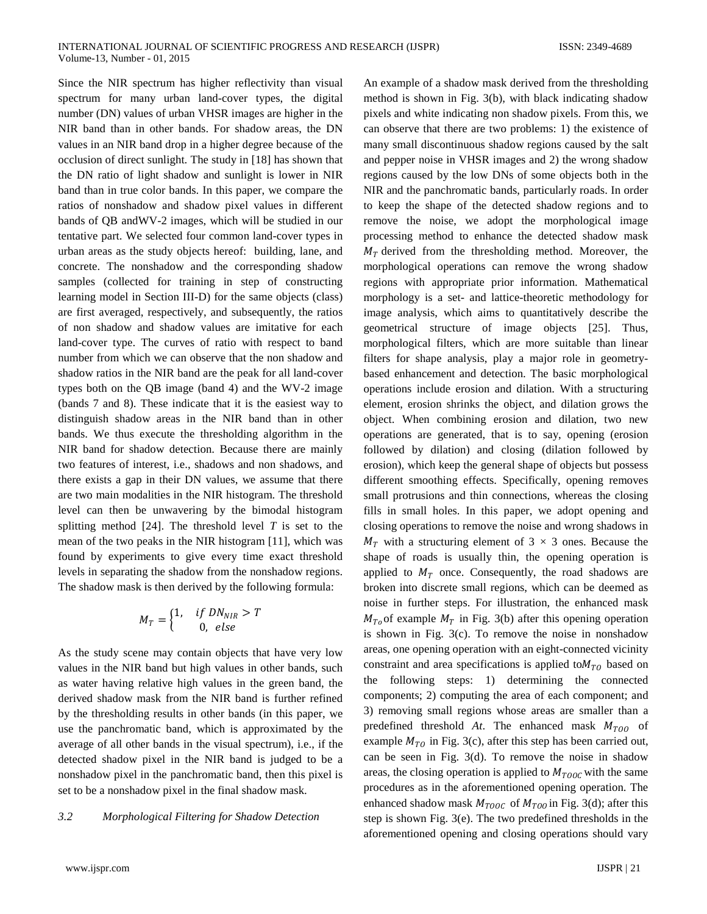Since the NIR spectrum has higher reflectivity than visual spectrum for many urban land-cover types, the digital number (DN) values of urban VHSR images are higher in the NIR band than in other bands. For shadow areas, the DN values in an NIR band drop in a higher degree because of the occlusion of direct sunlight. The study in [18] has shown that the DN ratio of light shadow and sunlight is lower in NIR band than in true color bands. In this paper, we compare the ratios of nonshadow and shadow pixel values in different bands of QB andWV-2 images, which will be studied in our tentative part. We selected four common land-cover types in urban areas as the study objects hereof: building, lane, and concrete. The nonshadow and the corresponding shadow samples (collected for training in step of constructing learning model in Section III-D) for the same objects (class) are first averaged, respectively, and subsequently, the ratios of non shadow and shadow values are imitative for each land-cover type. The curves of ratio with respect to band number from which we can observe that the non shadow and shadow ratios in the NIR band are the peak for all land-cover types both on the QB image (band 4) and the WV-2 image (bands 7 and 8). These indicate that it is the easiest way to distinguish shadow areas in the NIR band than in other bands. We thus execute the thresholding algorithm in the NIR band for shadow detection. Because there are mainly two features of interest, i.e., shadows and non shadows, and there exists a gap in their DN values, we assume that there are two main modalities in the NIR histogram. The threshold level can then be unwavering by the bimodal histogram splitting method [24]. The threshold level *T* is set to the mean of the two peaks in the NIR histogram [11], which was found by experiments to give every time exact threshold levels in separating the shadow from the nonshadow regions. The shadow mask is then derived by the following formula:

$$
M_T = \begin{cases} 1, & if DN_{NIR} > T \\ & 0, else \end{cases}
$$

As the study scene may contain objects that have very low values in the NIR band but high values in other bands, such as water having relative high values in the green band, the derived shadow mask from the NIR band is further refined by the thresholding results in other bands (in this paper, we use the panchromatic band, which is approximated by the average of all other bands in the visual spectrum), i.e., if the detected shadow pixel in the NIR band is judged to be a nonshadow pixel in the panchromatic band, then this pixel is set to be a nonshadow pixel in the final shadow mask.

# *3.2 Morphological Filtering for Shadow Detection*

An example of a shadow mask derived from the thresholding method is shown in Fig. 3(b), with black indicating shadow pixels and white indicating non shadow pixels. From this, we can observe that there are two problems: 1) the existence of many small discontinuous shadow regions caused by the salt and pepper noise in VHSR images and 2) the wrong shadow regions caused by the low DNs of some objects both in the NIR and the panchromatic bands, particularly roads. In order to keep the shape of the detected shadow regions and to remove the noise, we adopt the morphological image processing method to enhance the detected shadow mask  $M<sub>T</sub>$  derived from the thresholding method. Moreover, the morphological operations can remove the wrong shadow regions with appropriate prior information. Mathematical morphology is a set- and lattice-theoretic methodology for image analysis, which aims to quantitatively describe the geometrical structure of image objects [25]. Thus, morphological filters, which are more suitable than linear filters for shape analysis, play a major role in geometrybased enhancement and detection. The basic morphological operations include erosion and dilation. With a structuring element, erosion shrinks the object, and dilation grows the object. When combining erosion and dilation, two new operations are generated, that is to say, opening (erosion followed by dilation) and closing (dilation followed by erosion), which keep the general shape of objects but possess different smoothing effects. Specifically, opening removes small protrusions and thin connections, whereas the closing fills in small holes. In this paper, we adopt opening and closing operations to remove the noise and wrong shadows in  $M_T$  with a structuring element of 3  $\times$  3 ones. Because the shape of roads is usually thin, the opening operation is applied to  $M_T$  once. Consequently, the road shadows are broken into discrete small regions, which can be deemed as noise in further steps. For illustration, the enhanced mask  $M_{To}$  of example  $M_T$  in Fig. 3(b) after this opening operation is shown in Fig. 3(c). To remove the noise in nonshadow areas, one opening operation with an eight-connected vicinity constraint and area specifications is applied to  $M_{T0}$  based on the following steps: 1) determining the connected components; 2) computing the area of each component; and 3) removing small regions whose areas are smaller than a predefined threshold  $At$ . The enhanced mask  $M_{T00}$  of example  $M_{T0}$  in Fig. 3(c), after this step has been carried out, can be seen in Fig. 3(d). To remove the noise in shadow areas, the closing operation is applied to  $M_{TOOC}$  with the same procedures as in the aforementioned opening operation. The enhanced shadow mask  $M_{TOOC}$  of  $M_{TOO}$  in Fig. 3(d); after this step is shown Fig. 3(e). The two predefined thresholds in the aforementioned opening and closing operations should vary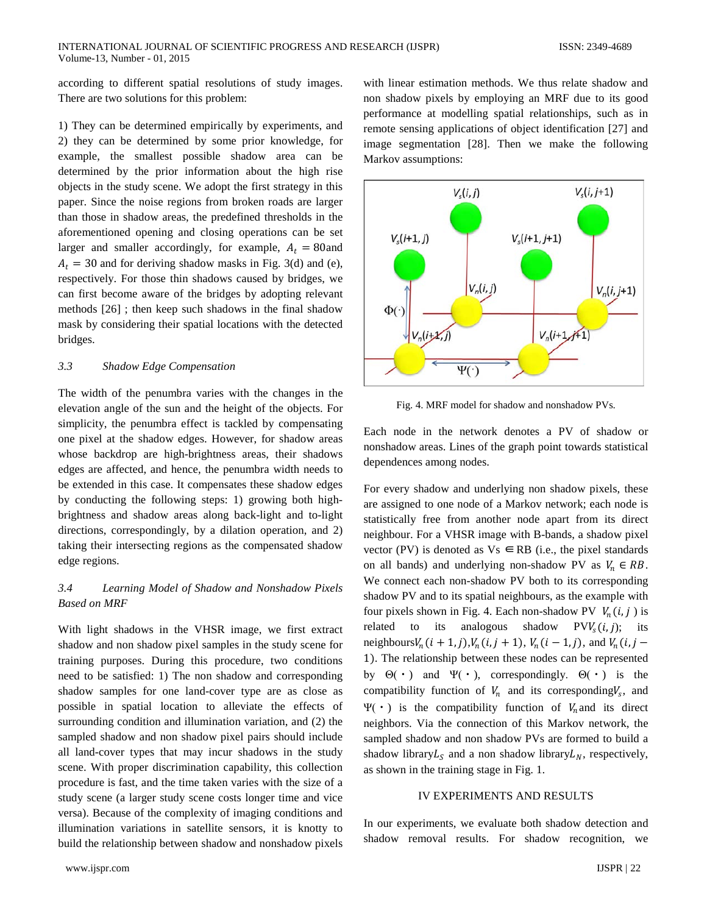$V_{s}(i, j+1)$ 

according to different spatial resolutions of study images. There are two solutions for this problem:

1) They can be determined empirically by experiments, and 2) they can be determined by some prior knowledge, for example, the smallest possible shadow area can be determined by the prior information about the high rise objects in the study scene. We adopt the first strategy in this paper. Since the noise regions from broken roads are larger than those in shadow areas, the predefined thresholds in the aforementioned opening and closing operations can be set larger and smaller accordingly, for example,  $A_t = 80$  and  $A_t = 30$  and for deriving shadow masks in Fig. 3(d) and (e), respectively. For those thin shadows caused by bridges, we can first become aware of the bridges by adopting relevant methods [26] ; then keep such shadows in the final shadow mask by considering their spatial locations with the detected bridges.

# *3.3 Shadow Edge Compensation*

The width of the penumbra varies with the changes in the elevation angle of the sun and the height of the objects. For simplicity, the penumbra effect is tackled by compensating one pixel at the shadow edges. However, for shadow areas whose backdrop are high-brightness areas, their shadows edges are affected, and hence, the penumbra width needs to be extended in this case. It compensates these shadow edges by conducting the following steps: 1) growing both highbrightness and shadow areas along back-light and to-light directions, correspondingly, by a dilation operation, and 2) taking their intersecting regions as the compensated shadow edge regions.

# *3.4 Learning Model of Shadow and Nonshadow Pixels Based on MRF*

With light shadows in the VHSR image, we first extract shadow and non shadow pixel samples in the study scene for training purposes. During this procedure, two conditions need to be satisfied: 1) The non shadow and corresponding shadow samples for one land-cover type are as close as possible in spatial location to alleviate the effects of surrounding condition and illumination variation, and (2) the sampled shadow and non shadow pixel pairs should include all land-cover types that may incur shadows in the study scene. With proper discrimination capability, this collection procedure is fast, and the time taken varies with the size of a study scene (a larger study scene costs longer time and vice versa). Because of the complexity of imaging conditions and illumination variations in satellite sensors, it is knotty to build the relationship between shadow and nonshadow pixels

Markov assumptions:



 $V_s(i,j)$ 

with linear estimation methods. We thus relate shadow and non shadow pixels by employing an MRF due to its good performance at modelling spatial relationships, such as in remote sensing applications of object identification [27] and image segmentation [28]. Then we make the following

Fig. 4. MRF model for shadow and nonshadow PVs.

Each node in the network denotes a PV of shadow or nonshadow areas. Lines of the graph point towards statistical dependences among nodes.

For every shadow and underlying non shadow pixels, these are assigned to one node of a Markov network; each node is statistically free from another node apart from its direct neighbour. For a VHSR image with B-bands, a shadow pixel vector (PV) is denoted as  $Vs \in RB$  (i.e., the pixel standards on all bands) and underlying non-shadow PV as  $V_n \in RB$ . We connect each non-shadow PV both to its corresponding shadow PV and to its spatial neighbours, as the example with four pixels shown in Fig. 4. Each non-shadow PV  $V_n(i, j)$  is related to its analogous shadow  $PVV_s(i,j)$ ; its neighbours  $V_n(i + 1, j)$ ,  $V_n(i, j + 1)$ ,  $V_n(i - 1, j)$ , and  $V_n(i, j - 1)$ 1). The relationship between these nodes can be represented by  $\Theta(\cdot)$  and  $\Psi(\cdot)$ , correspondingly.  $\Theta(\cdot)$  is the compatibility function of  $V_n$  and its corresponding  $V_s$ , and Ψ(·) is the compatibility function of  $V_n$  and its direct neighbors. Via the connection of this Markov network, the sampled shadow and non shadow PVs are formed to build a shadow library $L_s$  and a non shadow library  $L_N$ , respectively, as shown in the training stage in Fig. 1.

## IV EXPERIMENTS AND RESULTS

In our experiments, we evaluate both shadow detection and shadow removal results. For shadow recognition, we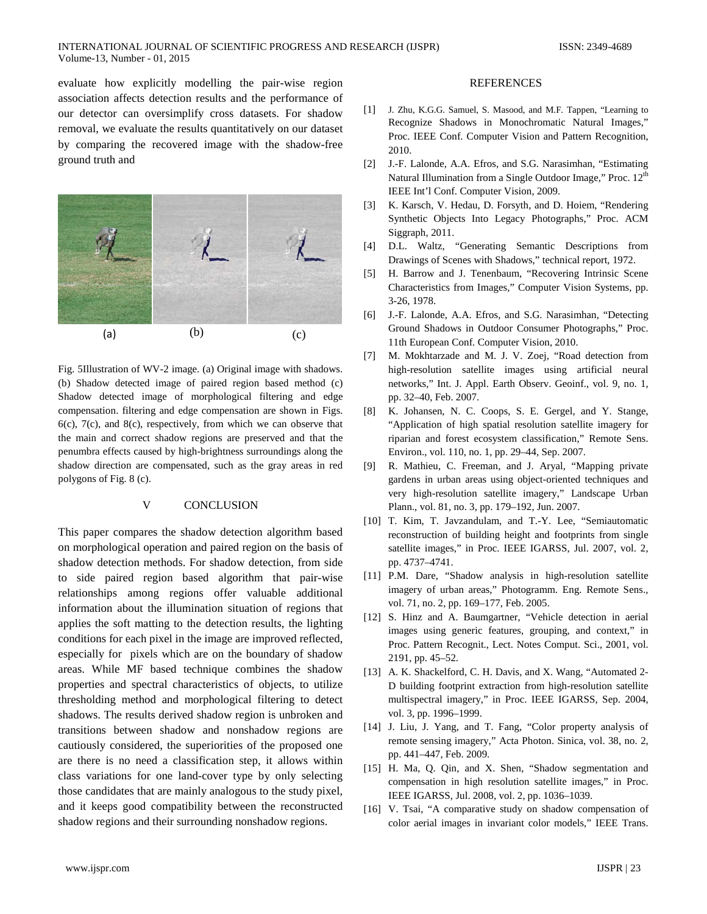evaluate how explicitly modelling the pair-wise region association affects detection results and the performance of our detector can oversimplify cross datasets. For shadow removal, we evaluate the results quantitatively on our dataset by comparing the recovered image with the shadow-free ground truth and



Fig. 5Illustration of WV-2 image. (a) Original image with shadows. (b) Shadow detected image of paired region based method (c) Shadow detected image of morphological filtering and edge compensation. filtering and edge compensation are shown in Figs. 6(c), 7(c), and 8(c), respectively, from which we can observe that the main and correct shadow regions are preserved and that the penumbra effects caused by high-brightness surroundings along the shadow direction are compensated, such as the gray areas in red polygons of Fig. 8 (c).

# V CONCLUSION

This paper compares the shadow detection algorithm based on morphological operation and paired region on the basis of shadow detection methods. For shadow detection, from side to side paired region based algorithm that pair-wise relationships among regions offer valuable additional information about the illumination situation of regions that applies the soft matting to the detection results, the lighting conditions for each pixel in the image are improved reflected, especially for pixels which are on the boundary of shadow areas. While MF based technique combines the shadow properties and spectral characteristics of objects, to utilize thresholding method and morphological filtering to detect shadows. The results derived shadow region is unbroken and transitions between shadow and nonshadow regions are cautiously considered, the superiorities of the proposed one are there is no need a classification step, it allows within class variations for one land-cover type by only selecting those candidates that are mainly analogous to the study pixel, and it keeps good compatibility between the reconstructed shadow regions and their surrounding nonshadow regions.

# REFERENCES

- [1] J. Zhu, K.G.G. Samuel, S. Masood, and M.F. Tappen, "Learning to Recognize Shadows in Monochromatic Natural Images," Proc. IEEE Conf. Computer Vision and Pattern Recognition, 2010.
- [2] J.-F. Lalonde, A.A. Efros, and S.G. Narasimhan, "Estimating Natural Illumination from a Single Outdoor Image," Proc. 12<sup>th</sup> IEEE Int'l Conf. Computer Vision, 2009.
- [3] K. Karsch, V. Hedau, D. Forsyth, and D. Hoiem, "Rendering Synthetic Objects Into Legacy Photographs," Proc. ACM Siggraph, 2011.
- [4] D.L. Waltz, "Generating Semantic Descriptions from Drawings of Scenes with Shadows," technical report, 1972.
- [5] H. Barrow and J. Tenenbaum, "Recovering Intrinsic Scene Characteristics from Images," Computer Vision Systems, pp. 3-26, 1978.
- [6] J.-F. Lalonde, A.A. Efros, and S.G. Narasimhan, "Detecting Ground Shadows in Outdoor Consumer Photographs," Proc. 11th European Conf. Computer Vision, 2010.
- [7] M. Mokhtarzade and M. J. V. Zoej, "Road detection from high-resolution satellite images using artificial neural networks," Int. J. Appl. Earth Observ. Geoinf., vol. 9, no. 1, pp. 32–40, Feb. 2007.
- [8] K. Johansen, N. C. Coops, S. E. Gergel, and Y. Stange, "Application of high spatial resolution satellite imagery for riparian and forest ecosystem classification," Remote Sens. Environ., vol. 110, no. 1, pp. 29–44, Sep. 2007.
- [9] R. Mathieu, C. Freeman, and J. Aryal, "Mapping private gardens in urban areas using object-oriented techniques and very high-resolution satellite imagery," Landscape Urban Plann., vol. 81, no. 3, pp. 179–192, Jun. 2007.
- [10] T. Kim, T. Javzandulam, and T.-Y. Lee, "Semiautomatic reconstruction of building height and footprints from single satellite images," in Proc. IEEE IGARSS, Jul. 2007, vol. 2, pp. 4737–4741.
- [11] P.M. Dare, "Shadow analysis in high-resolution satellite imagery of urban areas," Photogramm. Eng. Remote Sens., vol. 71, no. 2, pp. 169–177, Feb. 2005.
- [12] S. Hinz and A. Baumgartner, "Vehicle detection in aerial images using generic features, grouping, and context," in Proc. Pattern Recognit., Lect. Notes Comput. Sci., 2001, vol. 2191, pp. 45–52.
- [13] A. K. Shackelford, C. H. Davis, and X. Wang, "Automated 2-D building footprint extraction from high-resolution satellite multispectral imagery," in Proc. IEEE IGARSS, Sep. 2004, vol. 3, pp. 1996–1999.
- [14] J. Liu, J. Yang, and T. Fang, "Color property analysis of remote sensing imagery," Acta Photon. Sinica, vol. 38, no. 2, pp. 441–447, Feb. 2009.
- [15] H. Ma, Q. Qin, and X. Shen, "Shadow segmentation and compensation in high resolution satellite images," in Proc. IEEE IGARSS, Jul. 2008, vol. 2, pp. 1036–1039.
- [16] V. Tsai, "A comparative study on shadow compensation of color aerial images in invariant color models," IEEE Trans.